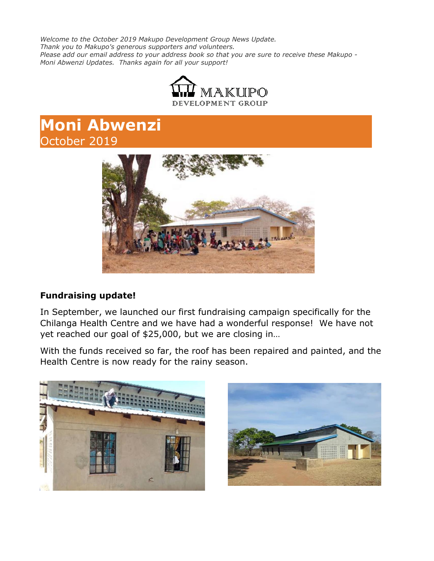*Welcome to the October 2019 Makupo Development Group News Update. Thank you to Makupo's generous supporters and volunteers. Please add our email address to your address book so that you are sure to receive these Makupo - Moni Abwenzi Updates. Thanks again for all your support!*



# **Moni Abwenzi** October 2019



### **Fundraising update!**

In September, we launched our first fundraising campaign specifically for the Chilanga Health Centre and we have had a wonderful response! We have not yet reached our goal of \$25,000, but we are closing in…

With the funds received so far, the roof has been repaired and painted, and the Health Centre is now ready for the rainy season.



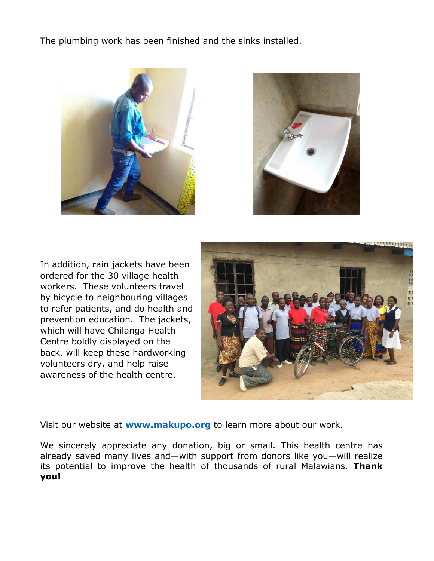The plumbing work has been finished and the sinks installed.





In addition, rain jackets have been ordered for the 30 village health workers. These volunteers travel by bicycle to neighbouring villages to refer patients, and do health and prevention education. The jackets, which will have Chilanga Health Centre boldly displayed on the back, will keep these hardworking volunteers dry, and help raise awareness of the health centre.



Visit our website at **[www.makupo.org](http://www.makupo.org/)** to learn more about our work.

We sincerely appreciate any donation, big or small. This health centre has already saved many lives and—with support from donors like you—will realize its potential to improve the health of thousands of rural Malawians. **Thank you!**